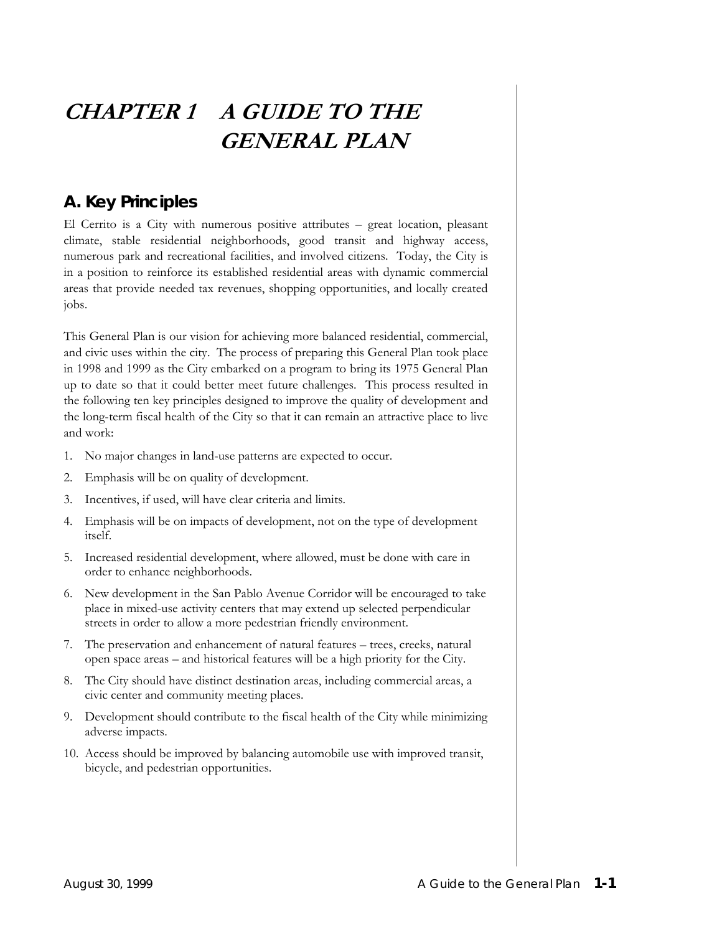# **CHAPTER 1 A GUIDE TO THE GENERAL PLAN**

### **A. Key Principles**

El Cerrito is a City with numerous positive attributes – great location, pleasant climate, stable residential neighborhoods, good transit and highway access, numerous park and recreational facilities, and involved citizens. Today, the City is in a position to reinforce its established residential areas with dynamic commercial areas that provide needed tax revenues, shopping opportunities, and locally created jobs.

This General Plan is our vision for achieving more balanced residential, commercial, and civic uses within the city. The process of preparing this General Plan took place in 1998 and 1999 as the City embarked on a program to bring its 1975 General Plan up to date so that it could better meet future challenges. This process resulted in the following ten key principles designed to improve the quality of development and the long-term fiscal health of the City so that it can remain an attractive place to live and work:

- 1. No major changes in land-use patterns are expected to occur.
- 2. Emphasis will be on quality of development.
- 3. Incentives, if used, will have clear criteria and limits.
- 4. Emphasis will be on impacts of development, not on the type of development itself.
- 5. Increased residential development, where allowed, must be done with care in order to enhance neighborhoods.
- 6. New development in the San Pablo Avenue Corridor will be encouraged to take place in mixed-use activity centers that may extend up selected perpendicular streets in order to allow a more pedestrian friendly environment.
- 7. The preservation and enhancement of natural features trees, creeks, natural open space areas – and historical features will be a high priority for the City.
- 8. The City should have distinct destination areas, including commercial areas, a civic center and community meeting places.
- 9. Development should contribute to the fiscal health of the City while minimizing adverse impacts.
- 10. Access should be improved by balancing automobile use with improved transit, bicycle, and pedestrian opportunities.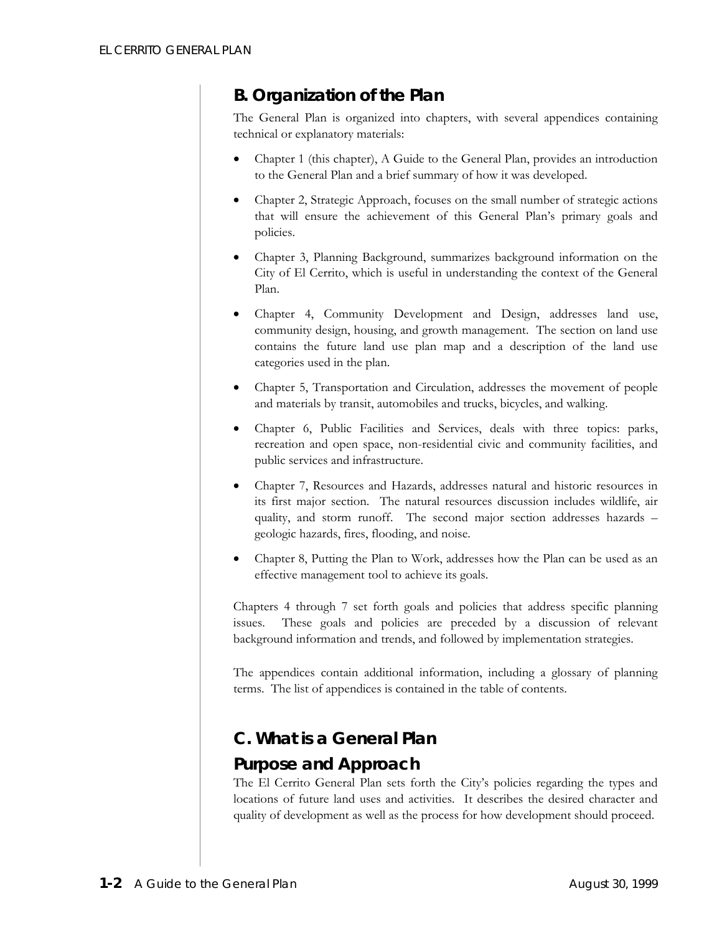# **B. Organization of the Plan**

The General Plan is organized into chapters, with several appendices containing technical or explanatory materials:

- Chapter 1 (this chapter), A Guide to the General Plan, provides an introduction to the General Plan and a brief summary of how it was developed.
- Chapter 2, Strategic Approach, focuses on the small number of strategic actions that will ensure the achievement of this General Plan's primary goals and policies.
- Chapter 3, Planning Background, summarizes background information on the City of El Cerrito, which is useful in understanding the context of the General Plan.
- Chapter 4, Community Development and Design, addresses land use, community design, housing, and growth management. The section on land use contains the future land use plan map and a description of the land use categories used in the plan.
- Chapter 5, Transportation and Circulation, addresses the movement of people and materials by transit, automobiles and trucks, bicycles, and walking.
- Chapter 6, Public Facilities and Services, deals with three topics: parks, recreation and open space, non-residential civic and community facilities, and public services and infrastructure.
- Chapter 7, Resources and Hazards, addresses natural and historic resources in its first major section. The natural resources discussion includes wildlife, air quality, and storm runoff. The second major section addresses hazards – geologic hazards, fires, flooding, and noise.
- Chapter 8, Putting the Plan to Work, addresses how the Plan can be used as an effective management tool to achieve its goals.

Chapters 4 through 7 set forth goals and policies that address specific planning issues. These goals and policies are preceded by a discussion of relevant background information and trends, and followed by implementation strategies.

The appendices contain additional information, including a glossary of planning terms. The list of appendices is contained in the table of contents.

# **C. What is a General Plan**

### *Purpose and Approach*

The El Cerrito General Plan sets forth the City's policies regarding the types and locations of future land uses and activities. It describes the desired character and quality of development as well as the process for how development should proceed.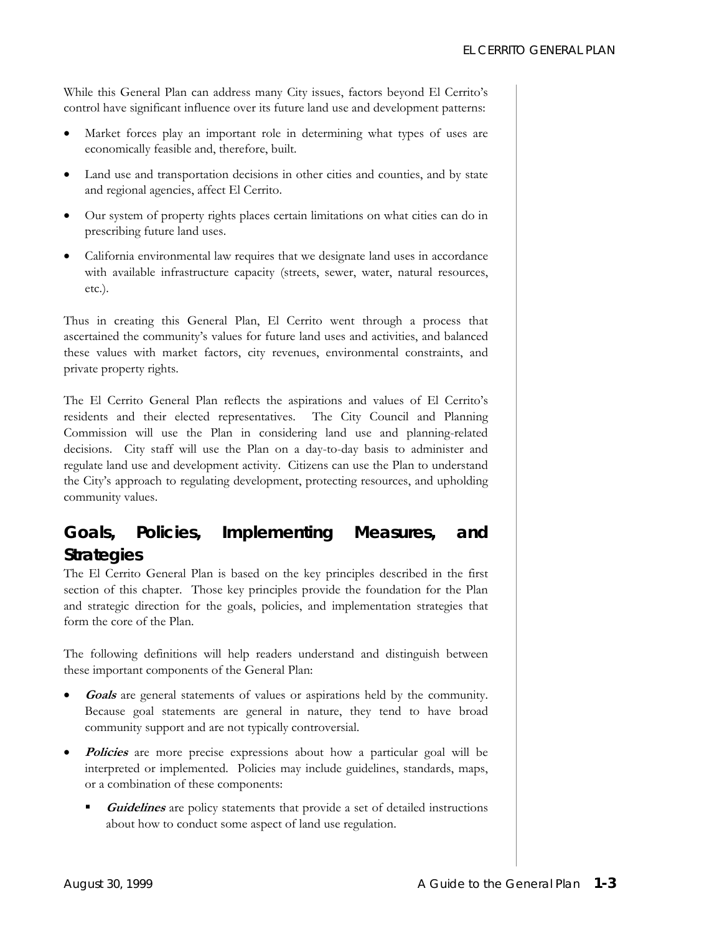While this General Plan can address many City issues, factors beyond El Cerrito's control have significant influence over its future land use and development patterns:

- Market forces play an important role in determining what types of uses are economically feasible and, therefore, built.
- Land use and transportation decisions in other cities and counties, and by state and regional agencies, affect El Cerrito.
- Our system of property rights places certain limitations on what cities can do in prescribing future land uses.
- California environmental law requires that we designate land uses in accordance with available infrastructure capacity (streets, sewer, water, natural resources, etc.).

Thus in creating this General Plan, El Cerrito went through a process that ascertained the community's values for future land uses and activities, and balanced these values with market factors, city revenues, environmental constraints, and private property rights.

The El Cerrito General Plan reflects the aspirations and values of El Cerrito's residents and their elected representatives. The City Council and Planning Commission will use the Plan in considering land use and planning-related decisions. City staff will use the Plan on a day-to-day basis to administer and regulate land use and development activity. Citizens can use the Plan to understand the City's approach to regulating development, protecting resources, and upholding community values.

### *Goals, Policies, Implementing Measures, and Strategies*

The El Cerrito General Plan is based on the key principles described in the first section of this chapter. Those key principles provide the foundation for the Plan and strategic direction for the goals, policies, and implementation strategies that form the core of the Plan.

The following definitions will help readers understand and distinguish between these important components of the General Plan:

- **Goals** are general statements of values or aspirations held by the community. Because goal statements are general in nature, they tend to have broad community support and are not typically controversial.
- **Policies** are more precise expressions about how a particular goal will be interpreted or implemented. Policies may include guidelines, standards, maps, or a combination of these components:
	- **Guidelines** are policy statements that provide a set of detailed instructions about how to conduct some aspect of land use regulation.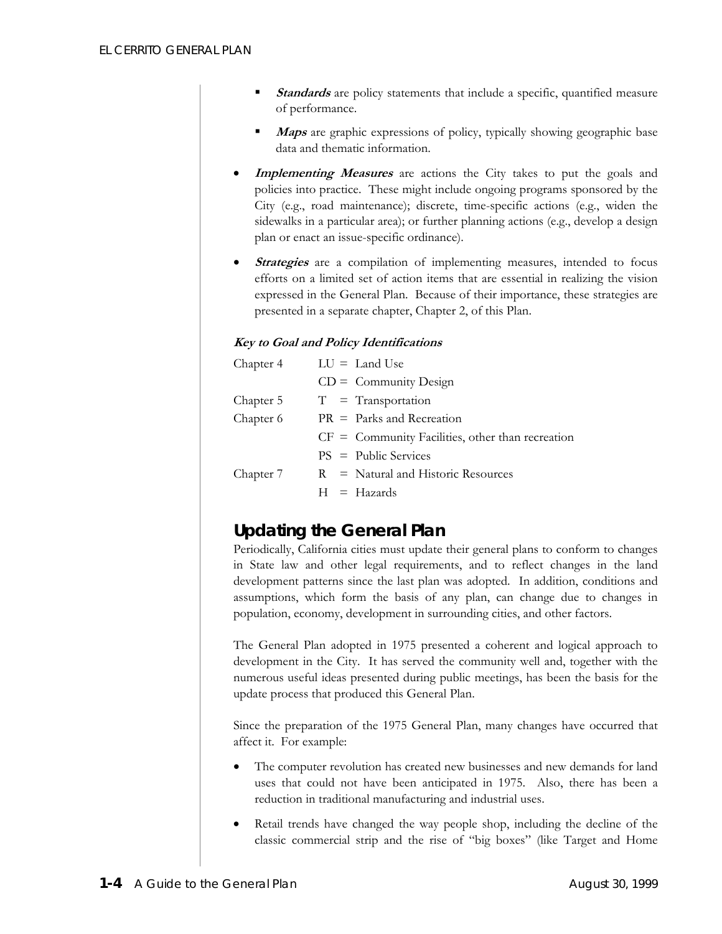- **Standards** are policy statements that include a specific, quantified measure of performance.
- **Maps** are graphic expressions of policy, typically showing geographic base data and thematic information.
- **Implementing Measures** are actions the City takes to put the goals and policies into practice. These might include ongoing programs sponsored by the City (e.g., road maintenance); discrete, time-specific actions (e.g., widen the sidewalks in a particular area); or further planning actions (e.g., develop a design plan or enact an issue-specific ordinance).
- **Strategies** are a compilation of implementing measures, intended to focus efforts on a limited set of action items that are essential in realizing the vision expressed in the General Plan. Because of their importance, these strategies are presented in a separate chapter, Chapter 2, of this Plan.

#### **Key to Goal and Policy Identifications**

| Chapter 4 | $LU =$ Land Use                                    |
|-----------|----------------------------------------------------|
|           | $CD =$ Community Design                            |
| Chapter 5 | $T = T$ ransportation                              |
| Chapter 6 | $PR =$ Parks and Recreation                        |
|           | $CF =$ Community Facilities, other than recreation |
|           | $PS = Public Services$                             |
| Chapter 7 | $R = Natural and Historic Resources$               |
|           | $H = Hazards$                                      |

# *Updating the General Plan*

Periodically, California cities must update their general plans to conform to changes in State law and other legal requirements, and to reflect changes in the land development patterns since the last plan was adopted. In addition, conditions and assumptions, which form the basis of any plan, can change due to changes in population, economy, development in surrounding cities, and other factors.

The General Plan adopted in 1975 presented a coherent and logical approach to development in the City. It has served the community well and, together with the numerous useful ideas presented during public meetings, has been the basis for the update process that produced this General Plan.

Since the preparation of the 1975 General Plan, many changes have occurred that affect it. For example:

- The computer revolution has created new businesses and new demands for land uses that could not have been anticipated in 1975. Also, there has been a reduction in traditional manufacturing and industrial uses.
- Retail trends have changed the way people shop, including the decline of the classic commercial strip and the rise of "big boxes" (like Target and Home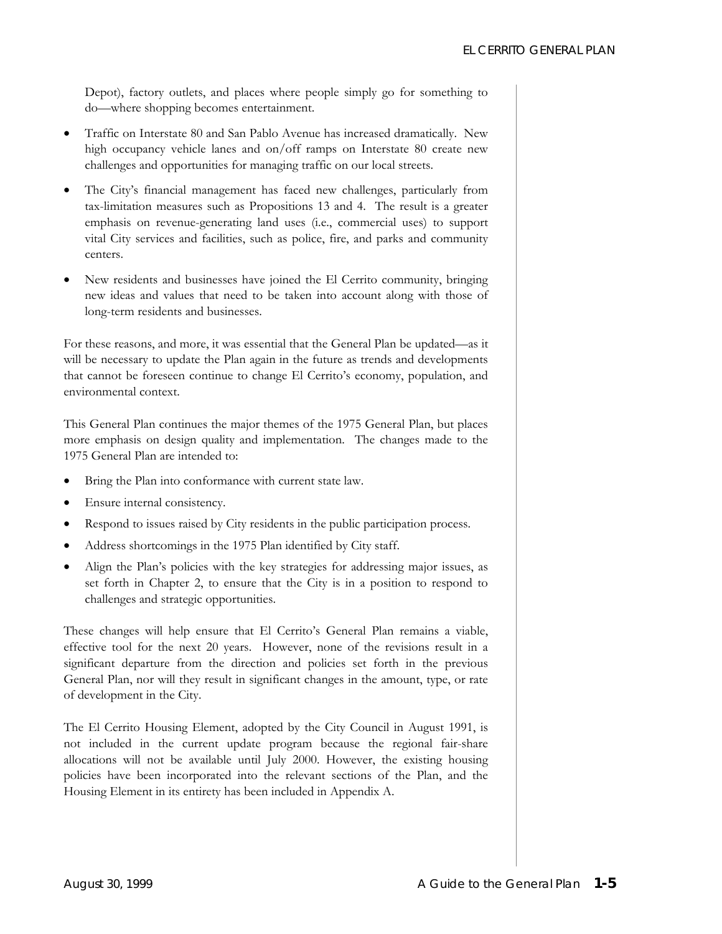Depot), factory outlets, and places where people simply go for something to do—where shopping becomes entertainment.

- Traffic on Interstate 80 and San Pablo Avenue has increased dramatically. New high occupancy vehicle lanes and on/off ramps on Interstate 80 create new challenges and opportunities for managing traffic on our local streets.
- The City's financial management has faced new challenges, particularly from tax-limitation measures such as Propositions 13 and 4. The result is a greater emphasis on revenue-generating land uses (i.e., commercial uses) to support vital City services and facilities, such as police, fire, and parks and community centers.
- New residents and businesses have joined the El Cerrito community, bringing new ideas and values that need to be taken into account along with those of long-term residents and businesses.

For these reasons, and more, it was essential that the General Plan be updated—as it will be necessary to update the Plan again in the future as trends and developments that cannot be foreseen continue to change El Cerrito's economy, population, and environmental context.

This General Plan continues the major themes of the 1975 General Plan, but places more emphasis on design quality and implementation. The changes made to the 1975 General Plan are intended to:

- Bring the Plan into conformance with current state law.
- Ensure internal consistency.
- Respond to issues raised by City residents in the public participation process.
- Address shortcomings in the 1975 Plan identified by City staff.
- Align the Plan's policies with the key strategies for addressing major issues, as set forth in Chapter 2, to ensure that the City is in a position to respond to challenges and strategic opportunities.

These changes will help ensure that El Cerrito's General Plan remains a viable, effective tool for the next 20 years. However, none of the revisions result in a significant departure from the direction and policies set forth in the previous General Plan, nor will they result in significant changes in the amount, type, or rate of development in the City.

The El Cerrito Housing Element, adopted by the City Council in August 1991, is not included in the current update program because the regional fair-share allocations will not be available until July 2000. However, the existing housing policies have been incorporated into the relevant sections of the Plan, and the Housing Element in its entirety has been included in Appendix A.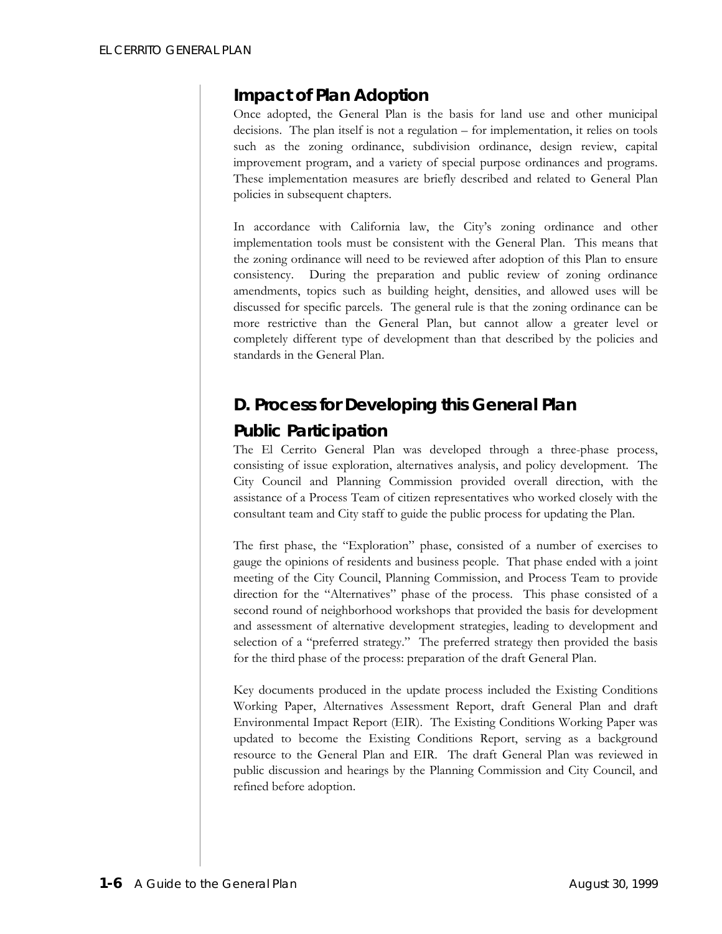### *Impact of Plan Adoption*

Once adopted, the General Plan is the basis for land use and other municipal decisions. The plan itself is not a regulation – for implementation, it relies on tools such as the zoning ordinance, subdivision ordinance, design review, capital improvement program, and a variety of special purpose ordinances and programs. These implementation measures are briefly described and related to General Plan policies in subsequent chapters.

In accordance with California law, the City's zoning ordinance and other implementation tools must be consistent with the General Plan. This means that the zoning ordinance will need to be reviewed after adoption of this Plan to ensure consistency. During the preparation and public review of zoning ordinance amendments, topics such as building height, densities, and allowed uses will be discussed for specific parcels. The general rule is that the zoning ordinance can be more restrictive than the General Plan, but cannot allow a greater level or completely different type of development than that described by the policies and standards in the General Plan.

### **D. Process for Developing this General Plan**

# *Public Participation*

The El Cerrito General Plan was developed through a three-phase process, consisting of issue exploration, alternatives analysis, and policy development. The City Council and Planning Commission provided overall direction, with the assistance of a Process Team of citizen representatives who worked closely with the consultant team and City staff to guide the public process for updating the Plan.

The first phase, the "Exploration" phase, consisted of a number of exercises to gauge the opinions of residents and business people. That phase ended with a joint meeting of the City Council, Planning Commission, and Process Team to provide direction for the "Alternatives" phase of the process. This phase consisted of a second round of neighborhood workshops that provided the basis for development and assessment of alternative development strategies, leading to development and selection of a "preferred strategy." The preferred strategy then provided the basis for the third phase of the process: preparation of the draft General Plan.

Key documents produced in the update process included the Existing Conditions Working Paper, Alternatives Assessment Report, draft General Plan and draft Environmental Impact Report (EIR). The Existing Conditions Working Paper was updated to become the Existing Conditions Report, serving as a background resource to the General Plan and EIR. The draft General Plan was reviewed in public discussion and hearings by the Planning Commission and City Council, and refined before adoption.